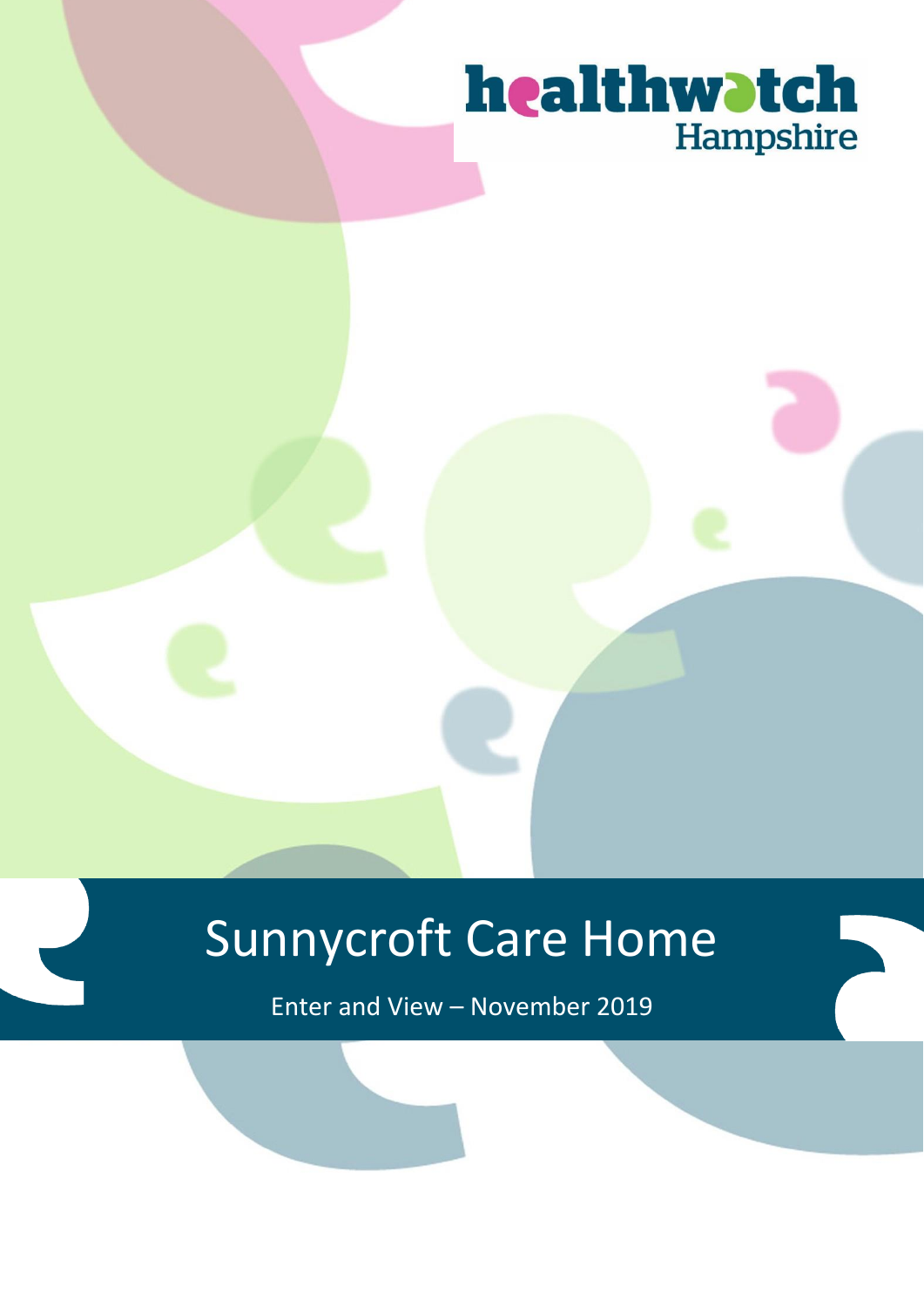### healthwatch Hampshire

## Sunnycroft Care Home

Enter and View – November 2019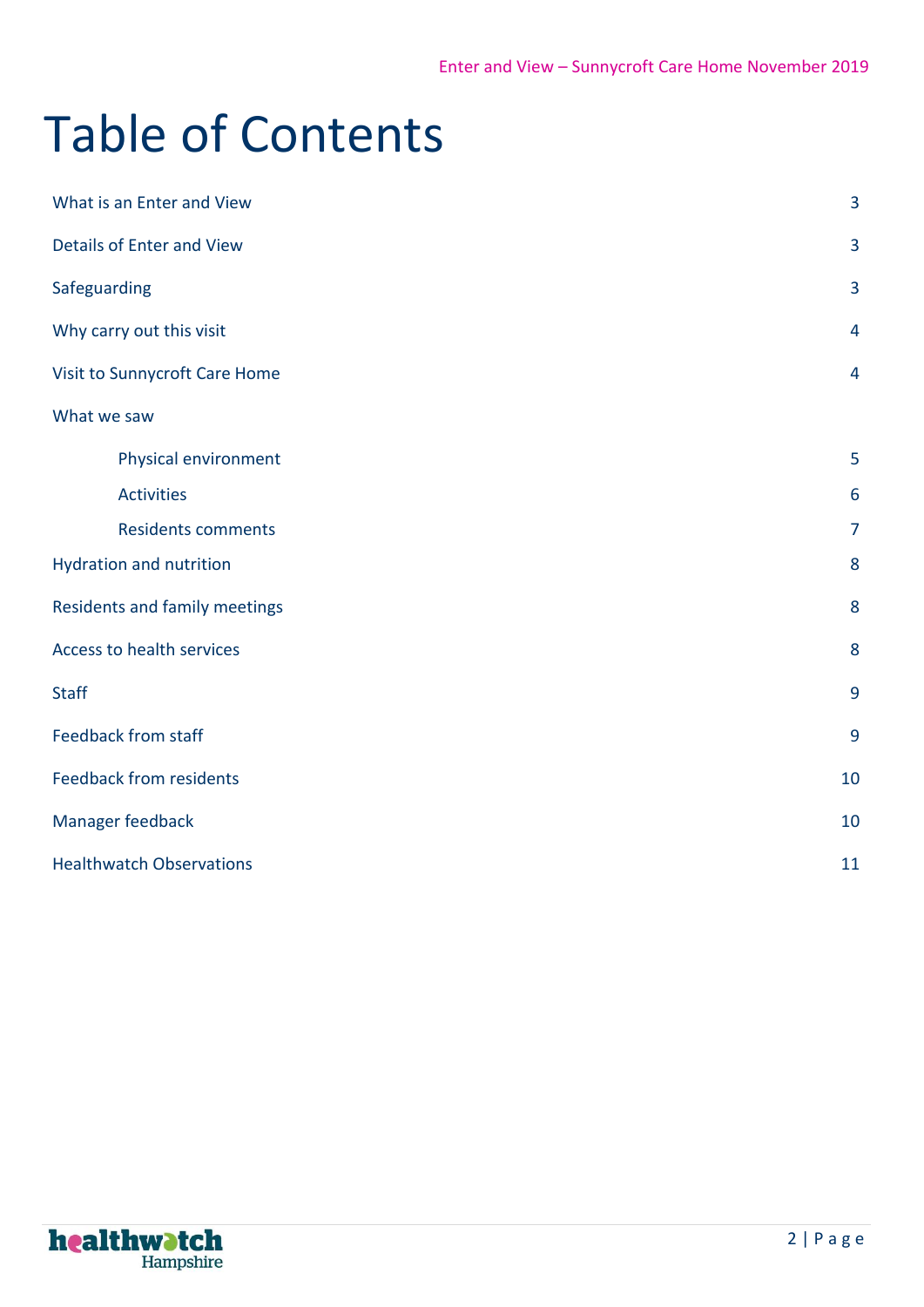# Table of Contents

| What is an Enter and View        | $\overline{3}$  |
|----------------------------------|-----------------|
| <b>Details of Enter and View</b> | 3               |
| Safeguarding                     | $\overline{3}$  |
| Why carry out this visit         | 4               |
| Visit to Sunnycroft Care Home    | $\overline{4}$  |
| What we saw                      |                 |
| Physical environment             | 5               |
| <b>Activities</b>                | $6\phantom{1}6$ |
| <b>Residents comments</b>        | $\overline{7}$  |
| Hydration and nutrition          | 8               |
| Residents and family meetings    | 8               |
| Access to health services        | 8               |
| <b>Staff</b>                     | 9               |
| <b>Feedback from staff</b>       | 9               |
| <b>Feedback from residents</b>   | 10              |
| Manager feedback                 | 10              |
| <b>Healthwatch Observations</b>  | 11              |

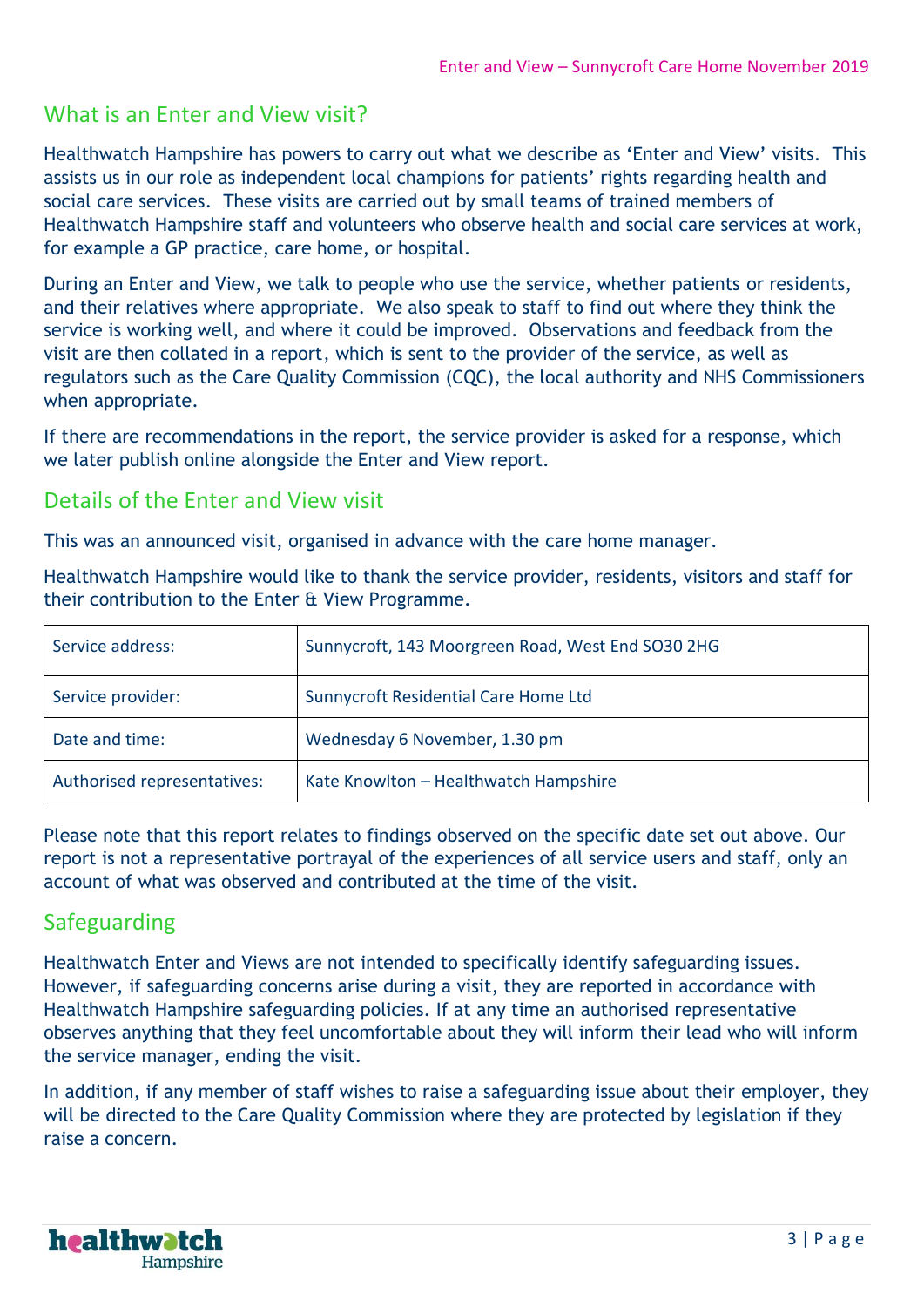#### What is an Enter and View visit?

Healthwatch Hampshire has powers to carry out what we describe as 'Enter and View' visits. This assists us in our role as independent local champions for patients' rights regarding health and social care services. These visits are carried out by small teams of trained members of Healthwatch Hampshire staff and volunteers who observe health and social care services at work, for example a GP practice, care home, or hospital.

During an Enter and View, we talk to people who use the service, whether patients or residents, and their relatives where appropriate. We also speak to staff to find out where they think the service is working well, and where it could be improved. Observations and feedback from the visit are then collated in a report, which is sent to the provider of the service, as well as regulators such as the Care Quality Commission (CQC), the local authority and NHS Commissioners when appropriate.

If there are recommendations in the report, the service provider is asked for a response, which we later publish online alongside the Enter and View report.

#### Details of the Enter and View visit

This was an announced visit, organised in advance with the care home manager.

Healthwatch Hampshire would like to thank the service provider, residents, visitors and staff for their contribution to the Enter & View Programme.

| Service address:            | Sunnycroft, 143 Moorgreen Road, West End SO30 2HG |
|-----------------------------|---------------------------------------------------|
| Service provider:           | Sunnycroft Residential Care Home Ltd              |
| Date and time:              | Wednesday 6 November, 1.30 pm                     |
| Authorised representatives: | Kate Knowlton - Healthwatch Hampshire             |

Please note that this report relates to findings observed on the specific date set out above. Our report is not a representative portrayal of the experiences of all service users and staff, only an account of what was observed and contributed at the time of the visit.

#### Safeguarding

Healthwatch Enter and Views are not intended to specifically identify safeguarding issues. However, if safeguarding concerns arise during a visit, they are reported in accordance with Healthwatch Hampshire safeguarding policies. If at any time an authorised representative observes anything that they feel uncomfortable about they will inform their lead who will inform the service manager, ending the visit.

In addition, if any member of staff wishes to raise a safeguarding issue about their employer, they will be directed to the Care Quality Commission where they are protected by legislation if they raise a concern.

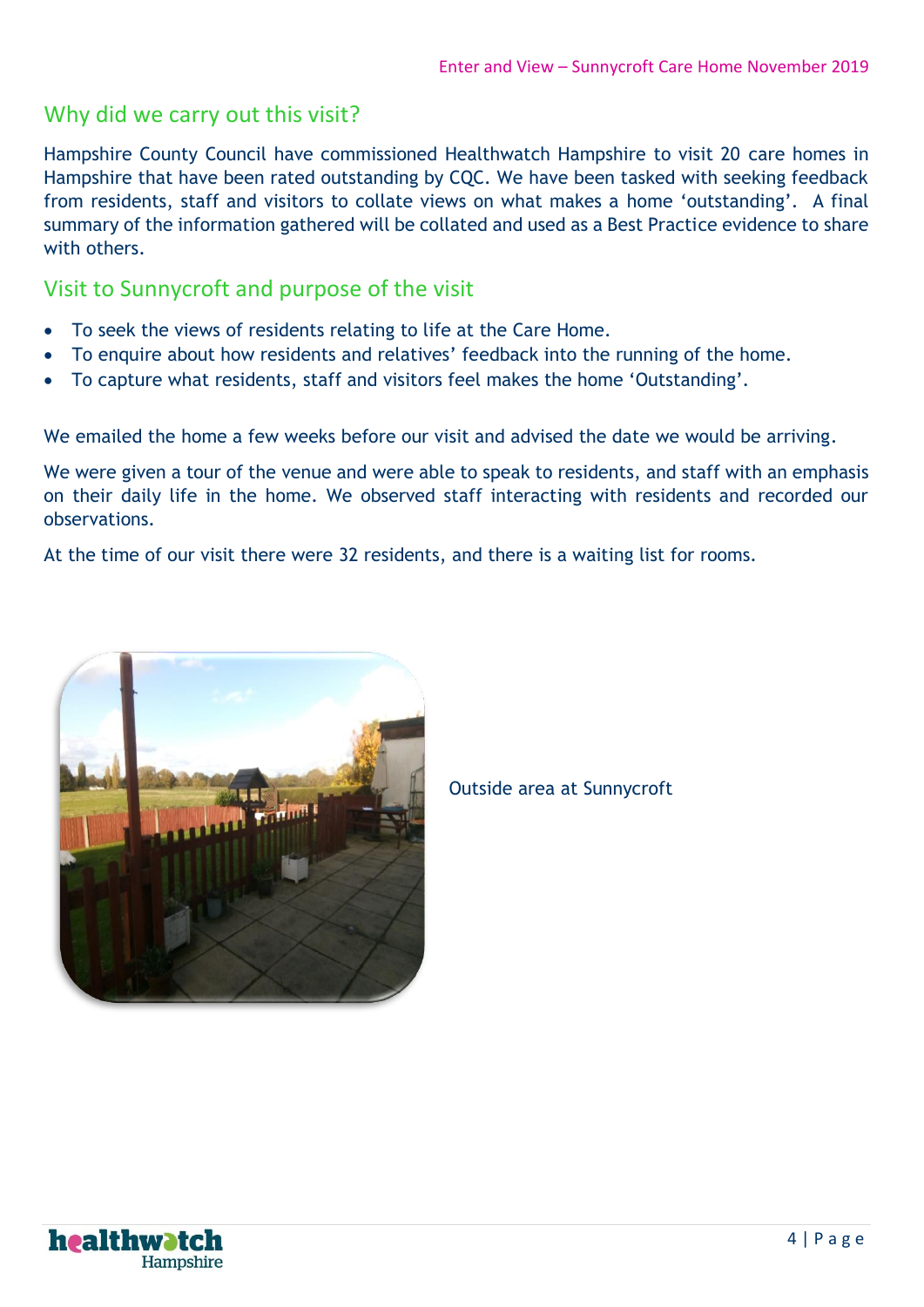#### Why did we carry out this visit?

Hampshire County Council have commissioned Healthwatch Hampshire to visit 20 care homes in Hampshire that have been rated outstanding by CQC. We have been tasked with seeking feedback from residents, staff and visitors to collate views on what makes a home 'outstanding'. A final summary of the information gathered will be collated and used as a Best Practice evidence to share with others.

#### Visit to Sunnycroft and purpose of the visit

- To seek the views of residents relating to life at the Care Home.
- To enquire about how residents and relatives' feedback into the running of the home.
- To capture what residents, staff and visitors feel makes the home 'Outstanding'.

We emailed the home a few weeks before our visit and advised the date we would be arriving.

We were given a tour of the venue and were able to speak to residents, and staff with an emphasis on their daily life in the home. We observed staff interacting with residents and recorded our observations.

At the time of our visit there were 32 residents, and there is a waiting list for rooms.



Outside area at Sunnycroft

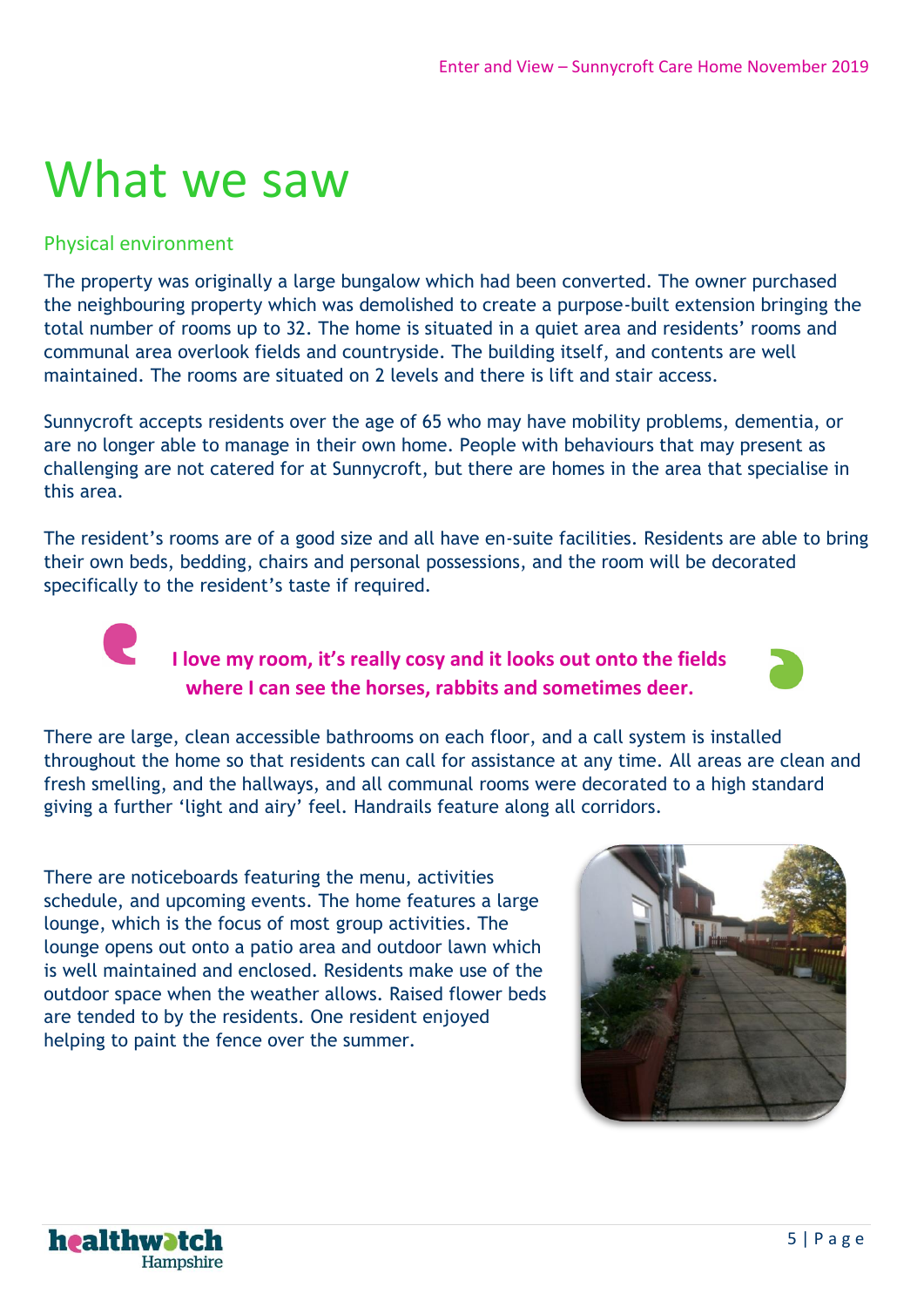## What we saw

#### Physical environment

**CONTRACT** 

The property was originally a large bungalow which had been converted. The owner purchased the neighbouring property which was demolished to create a purpose-built extension bringing the total number of rooms up to 32. The home is situated in a quiet area and residents' rooms and communal area overlook fields and countryside. The building itself, and contents are well maintained. The rooms are situated on 2 levels and there is lift and stair access.

Sunnycroft accepts residents over the age of 65 who may have mobility problems, dementia, or are no longer able to manage in their own home. People with behaviours that may present as challenging are not catered for at Sunnycroft, but there are homes in the area that specialise in this area.

The resident's rooms are of a good size and all have en-suite facilities. Residents are able to bring their own beds, bedding, chairs and personal possessions, and the room will be decorated specifically to the resident's taste if required.

#### **I love my room, it's really cosy and it looks out onto the fields where I can see the horses, rabbits and sometimes deer.**



There are large, clean accessible bathrooms on each floor, and a call system is installed throughout the home so that residents can call for assistance at any time. All areas are clean and fresh smelling, and the hallways, and all communal rooms were decorated to a high standard giving a further 'light and airy' feel. Handrails feature along all corridors.

There are noticeboards featuring the menu, activities schedule, and upcoming events. The home features a large lounge, which is the focus of most group activities. The lounge opens out onto a patio area and outdoor lawn which is well maintained and enclosed. Residents make use of the outdoor space when the weather allows. Raised flower beds are tended to by the residents. One resident enjoyed helping to paint the fence over the summer.



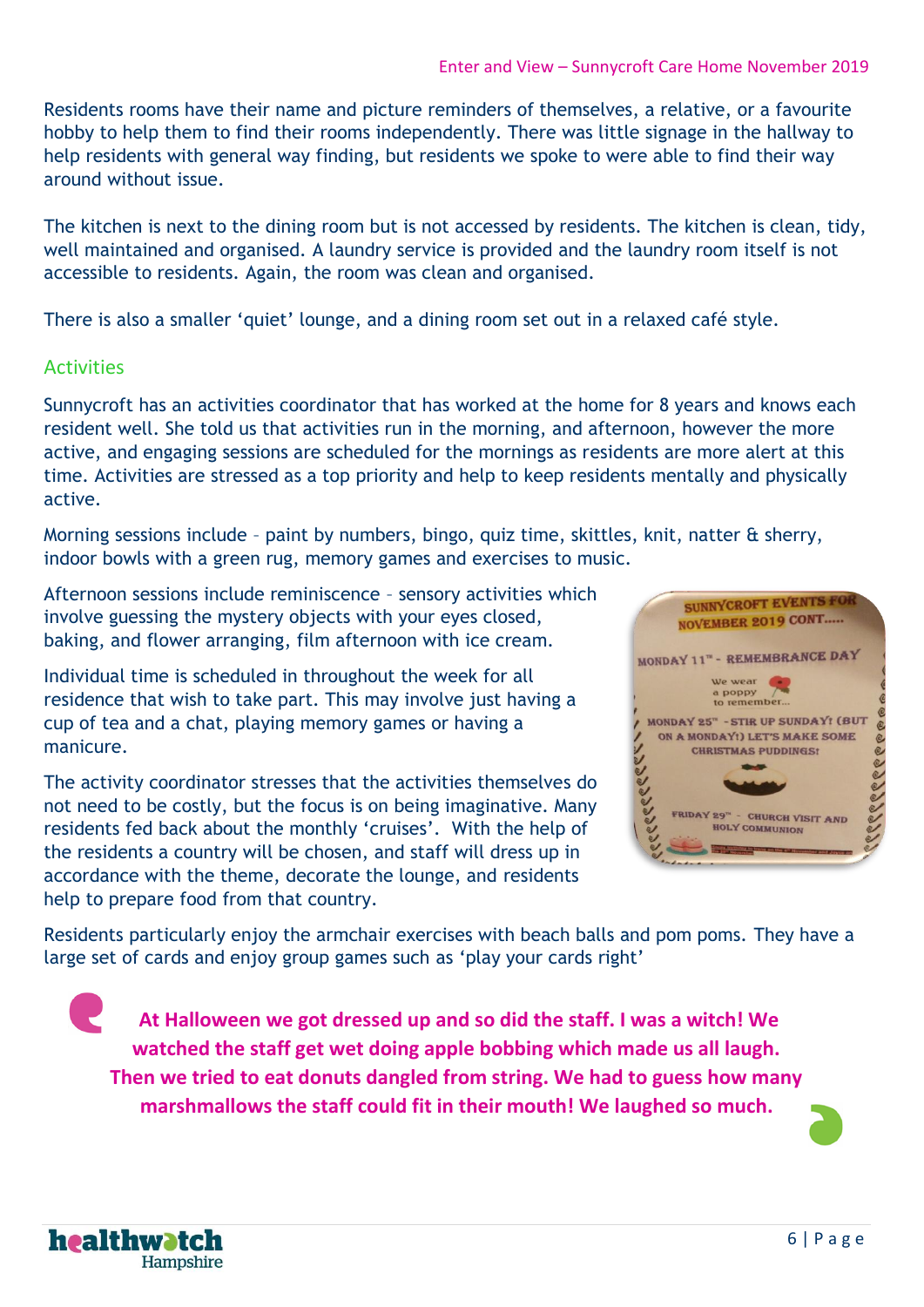Residents rooms have their name and picture reminders of themselves, a relative, or a favourite hobby to help them to find their rooms independently. There was little signage in the hallway to help residents with general way finding, but residents we spoke to were able to find their way around without issue.

The kitchen is next to the dining room but is not accessed by residents. The kitchen is clean, tidy, well maintained and organised. A laundry service is provided and the laundry room itself is not accessible to residents. Again, the room was clean and organised.

There is also a smaller 'quiet' lounge, and a dining room set out in a relaxed café style.

#### Activities

Sunnycroft has an activities coordinator that has worked at the home for 8 years and knows each resident well. She told us that activities run in the morning, and afternoon, however the more active, and engaging sessions are scheduled for the mornings as residents are more alert at this time. Activities are stressed as a top priority and help to keep residents mentally and physically active.

Morning sessions include – paint by numbers, bingo, quiz time, skittles, knit, natter & sherry, indoor bowls with a green rug, memory games and exercises to music.

Afternoon sessions include reminiscence – sensory activities which involve guessing the mystery objects with your eyes closed, baking, and flower arranging, film afternoon with ice cream.

Individual time is scheduled in throughout the week for all residence that wish to take part. This may involve just having a cup of tea and a chat, playing memory games or having a manicure.

The activity coordinator stresses that the activities themselves do not need to be costly, but the focus is on being imaginative. Many residents fed back about the monthly 'cruises'. With the help of the residents a country will be chosen, and staff will dress up in accordance with the theme, decorate the lounge, and residents help to prepare food from that country.



Residents particularly enjoy the armchair exercises with beach balls and pom poms. They have a large set of cards and enjoy group games such as 'play your cards right'

**At Halloween we got dressed up and so did the staff. I was a witch! We watched the staff get wet doing apple bobbing which made us all laugh. Then we tried to eat donuts dangled from string. We had to guess how many marshmallows the staff could fit in their mouth! We laughed so much.**

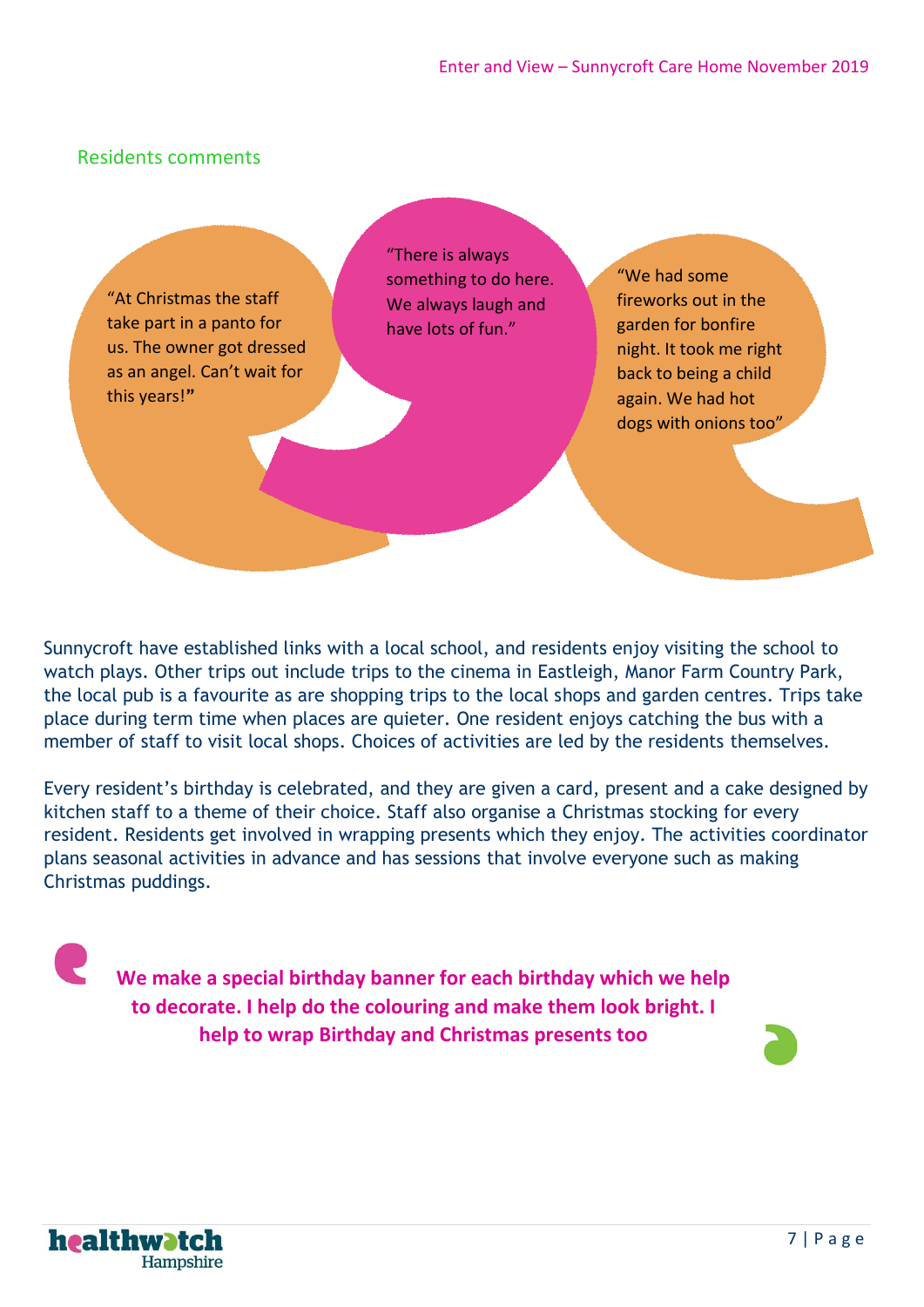#### Residents comments

"At Christmas the staff take part in a panto for us. The owner got dressed as an angel. Can't wait for this years!**"**

"There is always something to do here. We always laugh and have lots of fun."

"We had some fireworks out in the garden for bonfire night. It took me right back to being a child again. We had hot dogs with onions too"

Sunnycroft have established links with a local school, and residents enjoy visiting the school to watch plays. Other trips out include trips to the cinema in Eastleigh, Manor Farm Country Park, the local pub is a favourite as are shopping trips to the local shops and garden centres. Trips take place during term time when places are quieter. One resident enjoys catching the bus with a member of staff to visit local shops. Choices of activities are led by the residents themselves.

Every resident's birthday is celebrated, and they are given a card, present and a cake designed by kitchen staff to a theme of their choice. Staff also organise a Christmas stocking for every resident. Residents get involved in wrapping presents which they enjoy. The activities coordinator plans seasonal activities in advance and has sessions that involve everyone such as making Christmas puddings.

**We make a special birthday banner for each birthday which we help to decorate. I help do the colouring and make them look bright. I help to wrap Birthday and Christmas presents too**

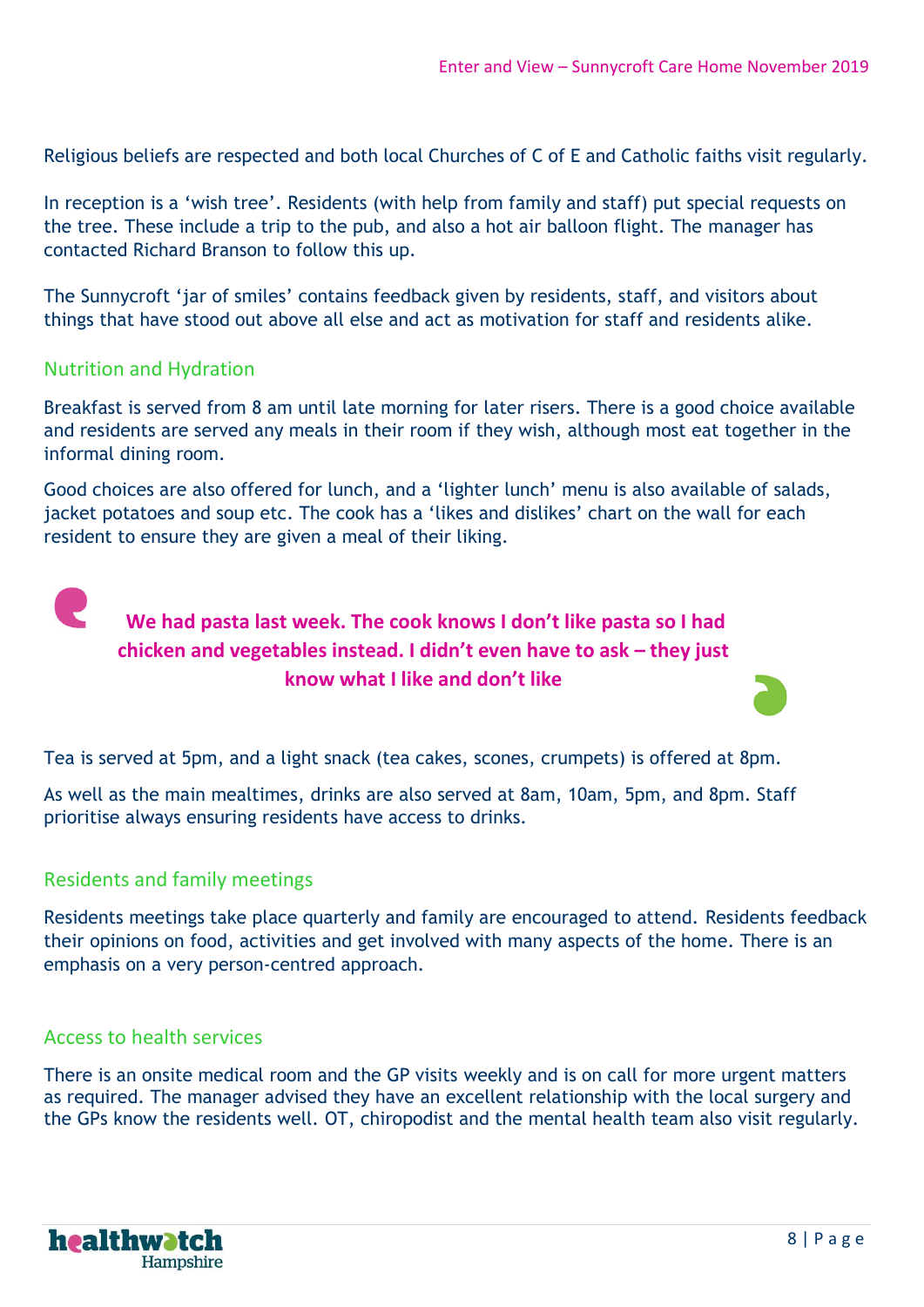Religious beliefs are respected and both local Churches of C of E and Catholic faiths visit regularly.

In reception is a 'wish tree'. Residents (with help from family and staff) put special requests on the tree. These include a trip to the pub, and also a hot air balloon flight. The manager has contacted Richard Branson to follow this up.

The Sunnycroft 'jar of smiles' contains feedback given by residents, staff, and visitors about things that have stood out above all else and act as motivation for staff and residents alike.

#### Nutrition and Hydration

Breakfast is served from 8 am until late morning for later risers. There is a good choice available and residents are served any meals in their room if they wish, although most eat together in the informal dining room.

Good choices are also offered for lunch, and a 'lighter lunch' menu is also available of salads, jacket potatoes and soup etc. The cook has a 'likes and dislikes' chart on the wall for each resident to ensure they are given a meal of their liking.



Tea is served at 5pm, and a light snack (tea cakes, scones, crumpets) is offered at 8pm.

As well as the main mealtimes, drinks are also served at 8am, 10am, 5pm, and 8pm. Staff prioritise always ensuring residents have access to drinks.

#### Residents and family meetings

Residents meetings take place quarterly and family are encouraged to attend. Residents feedback their opinions on food, activities and get involved with many aspects of the home. There is an emphasis on a very person-centred approach.

#### Access to health services

There is an onsite medical room and the GP visits weekly and is on call for more urgent matters as required. The manager advised they have an excellent relationship with the local surgery and the GPs know the residents well. OT, chiropodist and the mental health team also visit regularly.

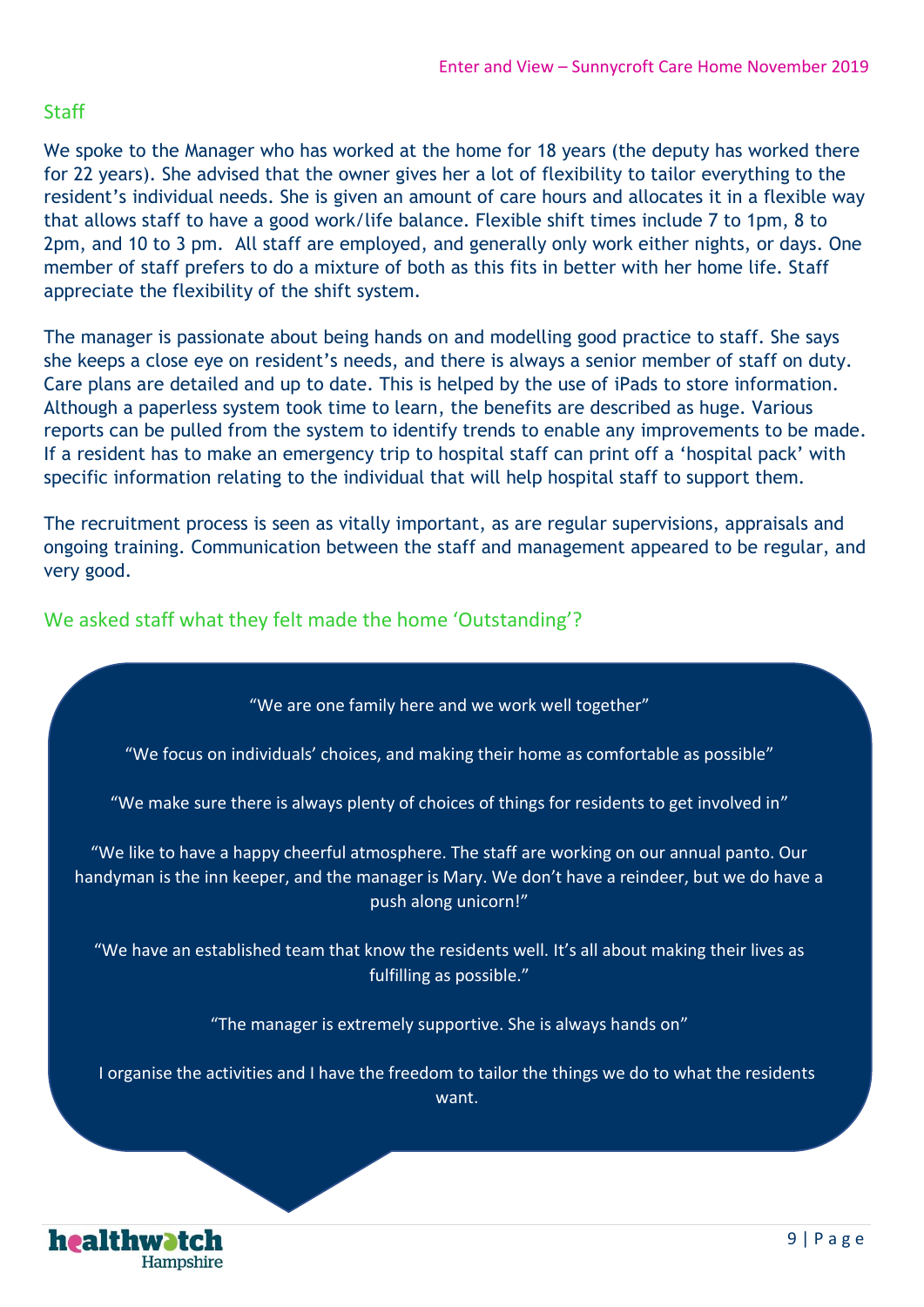#### Staff

We spoke to the Manager who has worked at the home for 18 years (the deputy has worked there for 22 years). She advised that the owner gives her a lot of flexibility to tailor everything to the resident's individual needs. She is given an amount of care hours and allocates it in a flexible way that allows staff to have a good work/life balance. Flexible shift times include 7 to 1pm, 8 to 2pm, and 10 to 3 pm. All staff are employed, and generally only work either nights, or days. One member of staff prefers to do a mixture of both as this fits in better with her home life. Staff appreciate the flexibility of the shift system.

The manager is passionate about being hands on and modelling good practice to staff. She says she keeps a close eye on resident's needs, and there is always a senior member of staff on duty. Care plans are detailed and up to date. This is helped by the use of iPads to store information. Although a paperless system took time to learn, the benefits are described as huge. Various reports can be pulled from the system to identify trends to enable any improvements to be made. If a resident has to make an emergency trip to hospital staff can print off a 'hospital pack' with specific information relating to the individual that will help hospital staff to support them.

The recruitment process is seen as vitally important, as are regular supervisions, appraisals and ongoing training. Communication between the staff and management appeared to be regular, and very good.

We asked staff what they felt made the home 'Outstanding'?

"We are one family here and we work well together"

"We focus on individuals' choices, and making their home as comfortable as possible"

"We make sure there is always plenty of choices of things for residents to get involved in"

"We like to have a happy cheerful atmosphere. The staff are working on our annual panto. Our handyman is the inn keeper, and the manager is Mary. We don't have a reindeer, but we do have a push along unicorn!"

"We have an established team that know the residents well. It's all about making their lives as fulfilling as possible."

"The manager is extremely supportive. She is always hands on"

I organise the activities and I have the freedom to tailor the things we do to what the residents want.

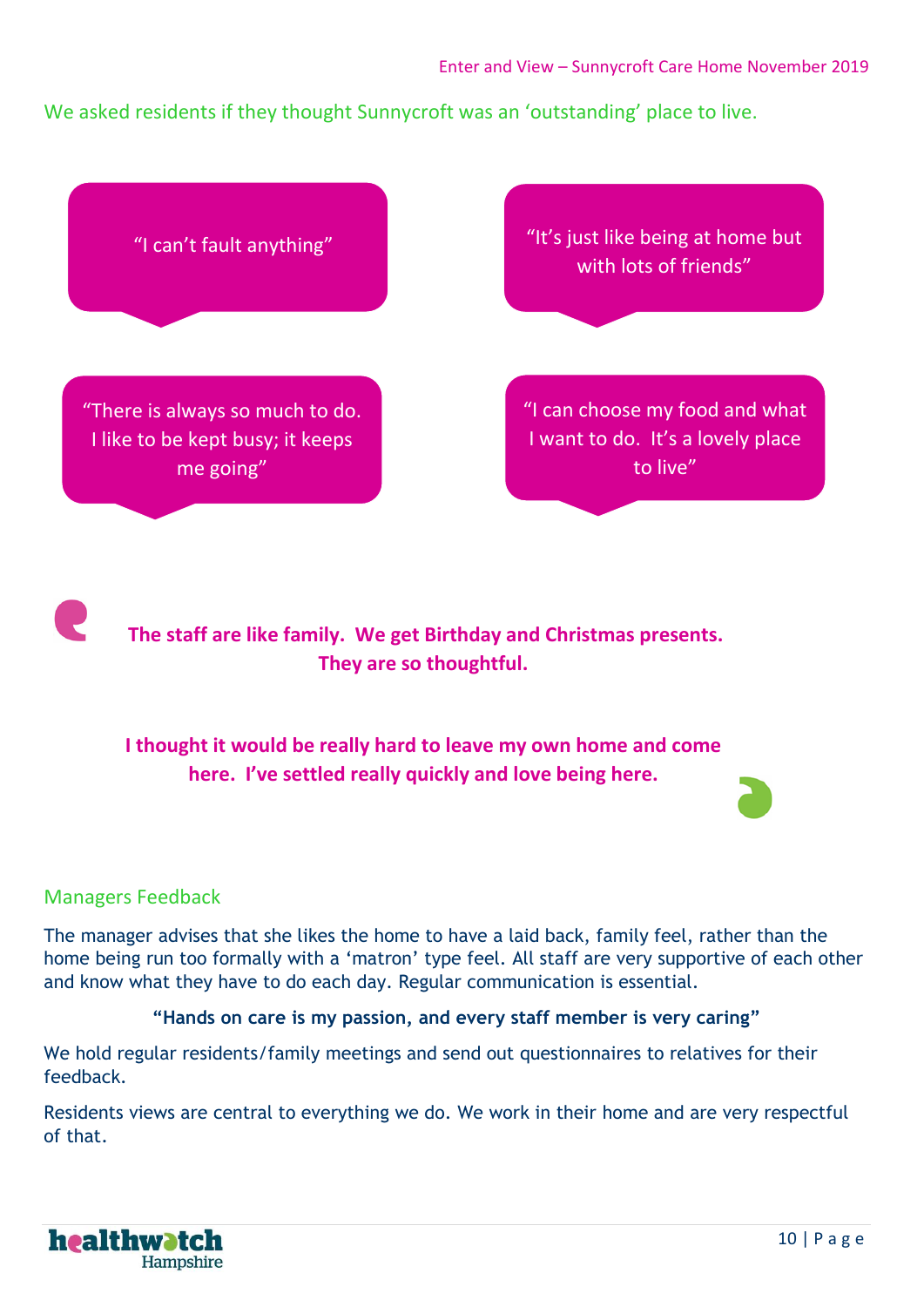We asked residents if they thought Sunnycroft was an 'outstanding' place to live.



**The staff are like family. We get Birthday and Christmas presents. They are so thoughtful.** 

#### **I thought it would be really hard to leave my own home and come here. I've settled really quickly and love being here.**

#### Managers Feedback

The manager advises that she likes the home to have a laid back, family feel, rather than the home being run too formally with a 'matron' type feel. All staff are very supportive of each other and know what they have to do each day. Regular communication is essential.

#### **"Hands on care is my passion, and every staff member is very caring"**

We hold regular residents/family meetings and send out questionnaires to relatives for their feedback.

Residents views are central to everything we do. We work in their home and are very respectful of that.

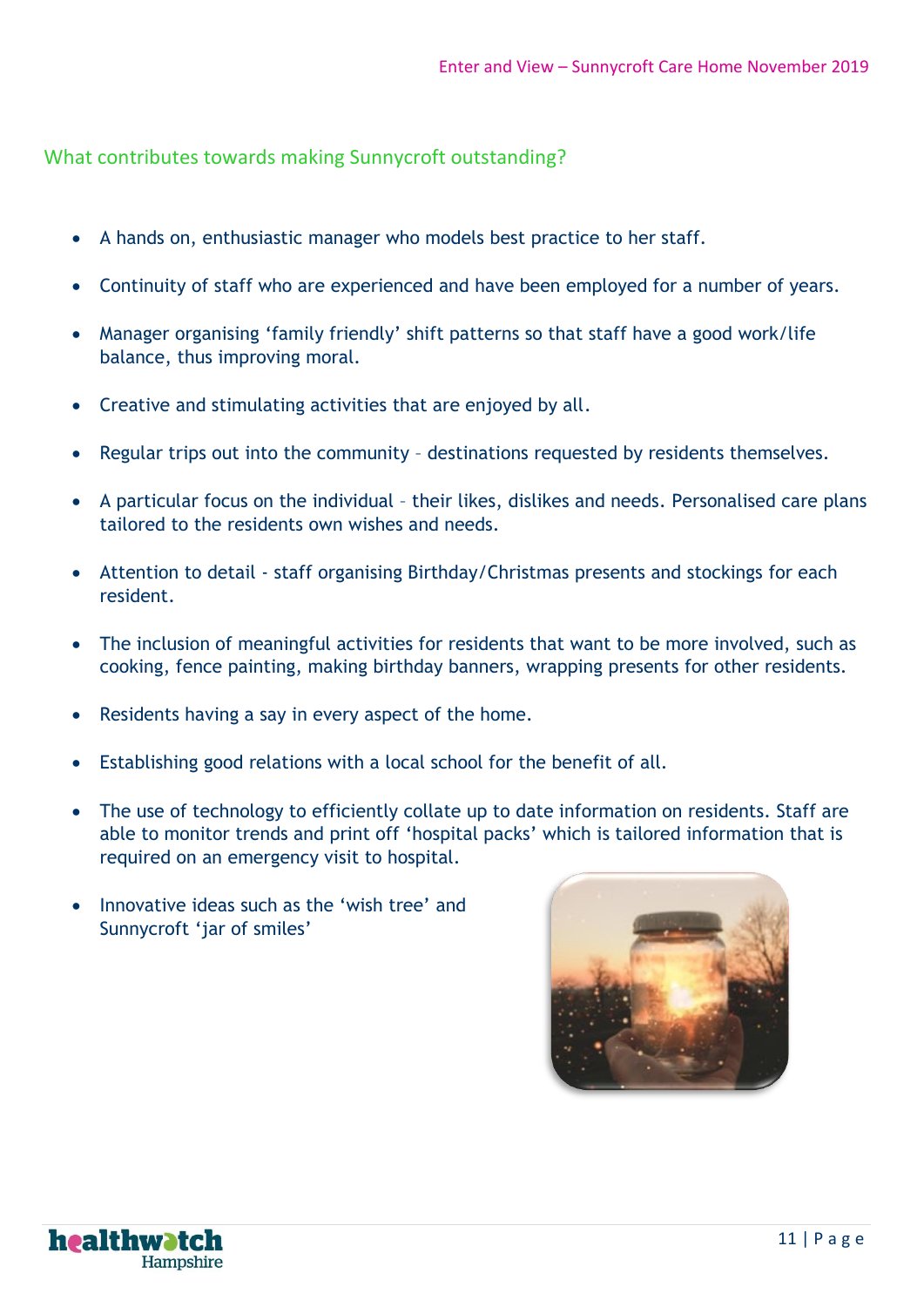What contributes towards making Sunnycroft outstanding?

- A hands on, enthusiastic manager who models best practice to her staff.
- Continuity of staff who are experienced and have been employed for a number of years.
- Manager organising 'family friendly' shift patterns so that staff have a good work/life balance, thus improving moral.
- Creative and stimulating activities that are enjoyed by all.
- Regular trips out into the community destinations requested by residents themselves.
- A particular focus on the individual their likes, dislikes and needs. Personalised care plans tailored to the residents own wishes and needs.
- Attention to detail staff organising Birthday/Christmas presents and stockings for each resident.
- The inclusion of meaningful activities for residents that want to be more involved, such as cooking, fence painting, making birthday banners, wrapping presents for other residents.
- Residents having a say in every aspect of the home.
- Establishing good relations with a local school for the benefit of all.
- The use of technology to efficiently collate up to date information on residents. Staff are able to monitor trends and print off 'hospital packs' which is tailored information that is required on an emergency visit to hospital.
- Innovative ideas such as the 'wish tree' and Sunnycroft 'jar of smiles'